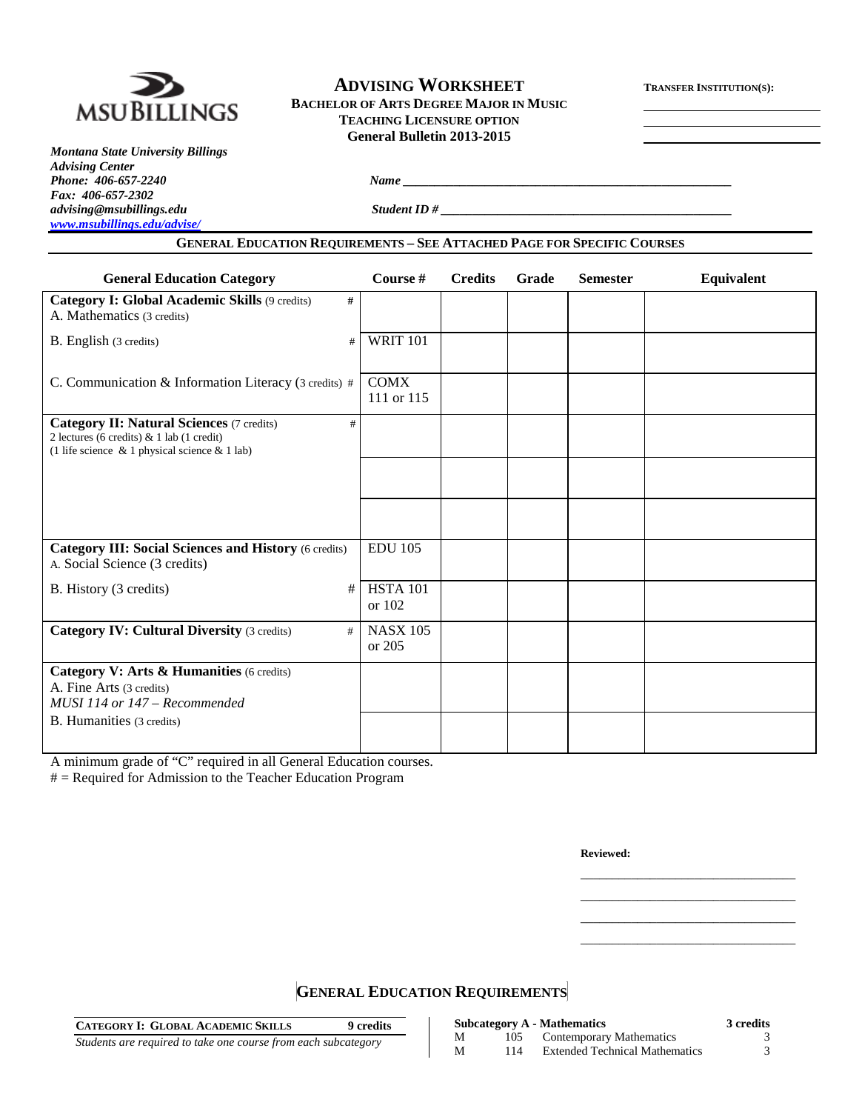

# **ADVISING WORKSHEET TRANSFER INSTITUTION(S): BACHELOR OF ARTS DEGREE MAJOR IN MUSIC TEACHING LICENSURE OPTION General Bulletin 2013-2015**

*Montana State University Billings Advising Center Phone: 406-657-2240 Name \_\_\_\_\_\_\_\_\_\_\_\_\_\_\_\_\_\_\_\_\_\_\_\_\_\_\_\_\_\_\_\_\_\_\_\_\_\_\_\_\_\_\_\_\_\_\_\_\_\_\_\_ Fax: 406-657-2302 [www.msubillings.edu/advise/](http://www.msubillings.edu/advise/)*

*advising@msubillings.edu Student ID # \_\_\_\_\_\_\_\_\_\_\_\_\_\_\_\_\_\_\_\_\_\_\_\_\_\_\_\_\_\_\_\_\_\_\_\_\_\_\_\_\_\_\_\_\_\_*

# **GENERAL EDUCATION REQUIREMENTS – SEE ATTACHED PAGE FOR SPECIFIC COURSES**

| <b>General Education Category</b>                                                                                                                         | Course #                  | <b>Credits</b> | Grade | <b>Semester</b> | Equivalent |
|-----------------------------------------------------------------------------------------------------------------------------------------------------------|---------------------------|----------------|-------|-----------------|------------|
| <b>Category I: Global Academic Skills (9 credits)</b><br>#<br>A. Mathematics (3 credits)                                                                  |                           |                |       |                 |            |
| B. English (3 credits)<br>#                                                                                                                               | <b>WRIT 101</b>           |                |       |                 |            |
| C. Communication & Information Literacy (3 credits) #                                                                                                     | <b>COMX</b><br>111 or 115 |                |       |                 |            |
| <b>Category II: Natural Sciences (7 credits)</b><br>#<br>2 lectures (6 credits) & 1 lab (1 credit)<br>(1 life science $\&$ 1 physical science $\&$ 1 lab) |                           |                |       |                 |            |
|                                                                                                                                                           |                           |                |       |                 |            |
|                                                                                                                                                           |                           |                |       |                 |            |
| <b>Category III: Social Sciences and History (6 credits)</b><br>A. Social Science (3 credits)                                                             | <b>EDU 105</b>            |                |       |                 |            |
| #<br>B. History (3 credits)                                                                                                                               | <b>HSTA 101</b><br>or 102 |                |       |                 |            |
| <b>Category IV: Cultural Diversity (3 credits)</b><br>#                                                                                                   | <b>NASX 105</b><br>or 205 |                |       |                 |            |
| Category V: Arts & Humanities (6 credits)<br>A. Fine Arts (3 credits)<br>MUSI 114 or 147 - Recommended                                                    |                           |                |       |                 |            |
| B. Humanities (3 credits)                                                                                                                                 |                           |                |       |                 |            |

A minimum grade of "C" required in all General Education courses.

# = Required for Admission to the Teacher Education Program

**Reviewed:**

\_\_\_\_\_\_\_\_\_\_\_\_\_\_\_\_\_\_\_\_\_\_\_\_\_\_\_\_\_\_\_\_\_\_ \_\_\_\_\_\_\_\_\_\_\_\_\_\_\_\_\_\_\_\_\_\_\_\_\_\_\_\_\_\_\_\_\_\_ \_\_\_\_\_\_\_\_\_\_\_\_\_\_\_\_\_\_\_\_\_\_\_\_\_\_\_\_\_\_\_\_\_\_ \_\_\_\_\_\_\_\_\_\_\_\_\_\_\_\_\_\_\_\_\_\_\_\_\_\_\_\_\_\_\_\_\_\_

# **GENERAL EDUCATION REQUIREMENTS**

| <b>CATEGORY I: GLOBAL ACADEMIC SKILLS</b><br>9 credits         |   |     | <b>Subcategory A - Mathematics</b>    | <b>3 credits</b> |
|----------------------------------------------------------------|---|-----|---------------------------------------|------------------|
| Students are required to take one course from each subcategory |   | 105 | Contemporary Mathematics              |                  |
|                                                                | M | 114 | <b>Extended Technical Mathematics</b> |                  |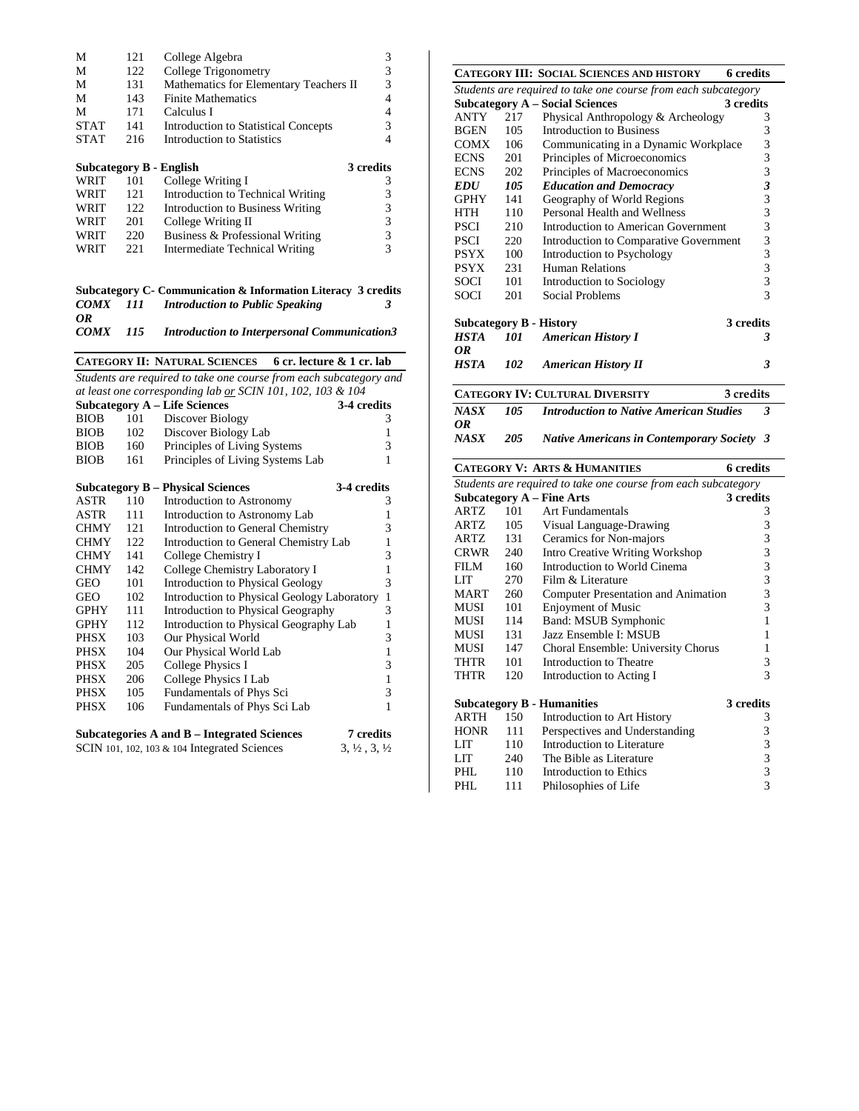| М                       | 121 | College Algebra                        | 3         |
|-------------------------|-----|----------------------------------------|-----------|
| М                       | 122 | College Trigonometry                   | 3         |
| М                       | 131 | Mathematics for Elementary Teachers II | 3         |
| М                       | 143 | <b>Finite Mathematics</b>              |           |
| М                       | 171 | Calculus I                             | 4         |
| <b>STAT</b>             | 141 | Introduction to Statistical Concepts   | 3         |
| <b>STAT</b>             | 216 | Introduction to Statistics             | 4         |
|                         |     |                                        |           |
|                         |     |                                        |           |
| Subcategory B - English |     |                                        | 3 credits |
| WRIT                    | 101 | College Writing I                      | 3         |
| WRIT                    | 121 | Introduction to Technical Writing      | 3         |
| WRIT                    | 122 | Introduction to Business Writing       | 3         |
| WRIT                    | 201 | College Writing II                     | 3         |
| WRIT                    | 220 | Business & Professional Writing        | 3         |

#### **Subcategory C- Communication & Information Literacy 3 credits** *COMX 111 Introduction to Public Speaking 3*

*OR COMX 115 Introduction to Interpersonal Communication3*

|             |         | CATEGORY II: NATURAL SCIENCES 6 cr. lecture & 1 cr. lab            |                                  |
|-------------|---------|--------------------------------------------------------------------|----------------------------------|
|             |         | Students are required to take one course from each subcategory and |                                  |
|             |         | at least one corresponding lab or SCIN 101, 102, 103 & 104         |                                  |
|             |         | <b>Subcategory A - Life Sciences</b>                               | 3-4 credits                      |
| <b>BIOB</b> | 101     | Discover Biology                                                   | 3                                |
| <b>BIOB</b> | 102     | Discover Biology Lab                                               | 1                                |
| <b>BIOB</b> | 160     | Principles of Living Systems                                       | 3                                |
| <b>BIOB</b> | 161     | Principles of Living Systems Lab                                   | 1                                |
|             |         | <b>Subcategory B – Physical Sciences</b>                           | 3-4 credits                      |
| ASTR        | 110     | Introduction to Astronomy                                          | 3                                |
| ASTR        | $111 -$ | Introduction to Astronomy Lab                                      | 1                                |
| <b>CHMY</b> | 121     | Introduction to General Chemistry                                  | 3                                |
| <b>CHMY</b> | 122     | Introduction to General Chemistry Lab                              | 1                                |
| <b>CHMY</b> | 141     | College Chemistry I                                                | 3                                |
| <b>CHMY</b> | 142     | College Chemistry Laboratory I                                     | 1                                |
| <b>GEO</b>  | 101     | <b>Introduction to Physical Geology</b>                            | 3                                |
| <b>GEO</b>  | 102     | Introduction to Physical Geology Laboratory                        | $\mathbf{1}$                     |
| <b>GPHY</b> | 111     | Introduction to Physical Geography                                 | 3                                |
| <b>GPHY</b> | 112     | Introduction to Physical Geography Lab                             | 1                                |
| <b>PHSX</b> | 103     | Our Physical World                                                 | 3                                |
| <b>PHSX</b> | 104     | Our Physical World Lab                                             | $\mathbf{1}$                     |
| <b>PHSX</b> | 205     | <b>College Physics I</b>                                           | 3                                |
| <b>PHSX</b> | 206     | College Physics I Lab                                              | 1                                |
| <b>PHSX</b> | 105     | Fundamentals of Phys Sci                                           | 3                                |
| <b>PHSX</b> | 106     | Fundamentals of Phys Sci Lab                                       | 1                                |
|             |         | Subcategories A and B – Integrated Sciences                        | <b>7</b> credits                 |
|             |         | SCIN 101, 102, 103 $&$ 104 Integrated Sciences                     | $3, \frac{1}{2}, 3, \frac{1}{2}$ |
|             |         |                                                                    |                                  |
|             |         |                                                                    |                                  |
|             |         |                                                                    |                                  |

|                   |     | <b>CATEGORY III: SOCIAL SCIENCES AND HISTORY</b>               | <b>6</b> credits         |
|-------------------|-----|----------------------------------------------------------------|--------------------------|
|                   |     | Students are required to take one course from each subcategory |                          |
|                   |     |                                                                | 3 credits                |
|                   |     | <b>Subcategory A – Social Sciences</b>                         |                          |
| <b>ANTY</b>       | 217 | Physical Anthropology & Archeology                             | 3                        |
| <b>BGEN</b>       | 105 | Introduction to Business                                       | 3                        |
| <b>COMX</b>       | 106 | Communicating in a Dynamic Workplace                           | 3                        |
| <b>ECNS</b>       | 201 | Principles of Microeconomics                                   | 3                        |
| <b>ECNS</b>       | 202 | Principles of Macroeconomics                                   | 3                        |
| <i><b>EDU</b></i> | 105 | <b>Education and Democracy</b>                                 | $\overline{\mathbf{3}}$  |
| <b>GPHY</b>       | 141 | Geography of World Regions                                     | 3                        |
| <b>HTH</b>        | 110 | Personal Health and Wellness                                   | 3                        |
| <b>PSCI</b>       | 210 | Introduction to American Government                            | 3                        |
| <b>PSCI</b>       | 220 | Introduction to Comparative Government                         | 3                        |
| <b>PSYX</b>       | 100 | Introduction to Psychology                                     | 3                        |
| <b>PSYX</b>       | 231 | Human Relations                                                | 3                        |
| SOCI              | 101 | Introduction to Sociology                                      | 3                        |
| <b>SOCI</b>       | 201 | Social Problems                                                | $\overline{\mathcal{E}}$ |
|                   |     |                                                                |                          |
|                   |     | <b>Subcategory B - History</b>                                 | 3 credits                |
| HSTA              | 101 | <b>American History I</b>                                      | 3                        |
| OR                |     |                                                                |                          |
| <b>HSTA</b>       | 102 | <b>American History II</b>                                     | 3                        |
|                   |     | <b>CATEGORY IV: CULTURAL DIVERSITY</b>                         | 3 credits                |
| <b>NASX</b>       | 105 | <b>Introduction to Native American Studies</b>                 | 3                        |
| OR                |     |                                                                |                          |
| NASX              | 205 | <b>Native Americans in Contemporary Society</b>                | 3                        |

|             |                                        | <b>6</b> credits                                                                                                                                                                                                                                                                                                  |
|-------------|----------------------------------------|-------------------------------------------------------------------------------------------------------------------------------------------------------------------------------------------------------------------------------------------------------------------------------------------------------------------|
|             |                                        |                                                                                                                                                                                                                                                                                                                   |
|             |                                        | 3 credits                                                                                                                                                                                                                                                                                                         |
|             | Art Fundamentals                       | 3                                                                                                                                                                                                                                                                                                                 |
| ARTZ        | Visual Language-Drawing                | 3                                                                                                                                                                                                                                                                                                                 |
| ARTZ        | Ceramics for Non-majors                | 3                                                                                                                                                                                                                                                                                                                 |
| CRWR        | <b>Intro Creative Writing Workshop</b> | 3                                                                                                                                                                                                                                                                                                                 |
| 160         | Introduction to World Cinema           | 3                                                                                                                                                                                                                                                                                                                 |
| 270         | Film & Literature                      | 3                                                                                                                                                                                                                                                                                                                 |
| 260<br>MART |                                        | 3                                                                                                                                                                                                                                                                                                                 |
| 101<br>MUSI | <b>Enjoyment of Music</b>              | 3                                                                                                                                                                                                                                                                                                                 |
| 114         | Band: MSUB Symphonic                   | 1                                                                                                                                                                                                                                                                                                                 |
| MUSI<br>131 | Jazz Ensemble I: MSUB                  | 1                                                                                                                                                                                                                                                                                                                 |
| 147         |                                        | 1                                                                                                                                                                                                                                                                                                                 |
| 101<br>THTR | Introduction to Theatre                | 3                                                                                                                                                                                                                                                                                                                 |
| 120         | Introduction to Acting I               | 3                                                                                                                                                                                                                                                                                                                 |
|             |                                        | 3 credits                                                                                                                                                                                                                                                                                                         |
| 150         | Introduction to Art History            | 3                                                                                                                                                                                                                                                                                                                 |
|             | Perspectives and Understanding         | 3                                                                                                                                                                                                                                                                                                                 |
| 110         | Introduction to Literature             | 3                                                                                                                                                                                                                                                                                                                 |
|             | The Bible as Literature                | 3                                                                                                                                                                                                                                                                                                                 |
| 110         | Introduction to Ethics                 | 3                                                                                                                                                                                                                                                                                                                 |
| 111         | Philosophies of Life                   | 3                                                                                                                                                                                                                                                                                                                 |
|             |                                        | <b>CATEGORY V: ARTS &amp; HUMANITIES</b><br>Students are required to take one course from each subcategory<br><b>Subcategory A – Fine Arts</b><br>101<br>105<br>131<br>240<br><b>Computer Presentation and Animation</b><br>Choral Ensemble: University Chorus<br><b>Subcategory B - Humanities</b><br>111<br>240 |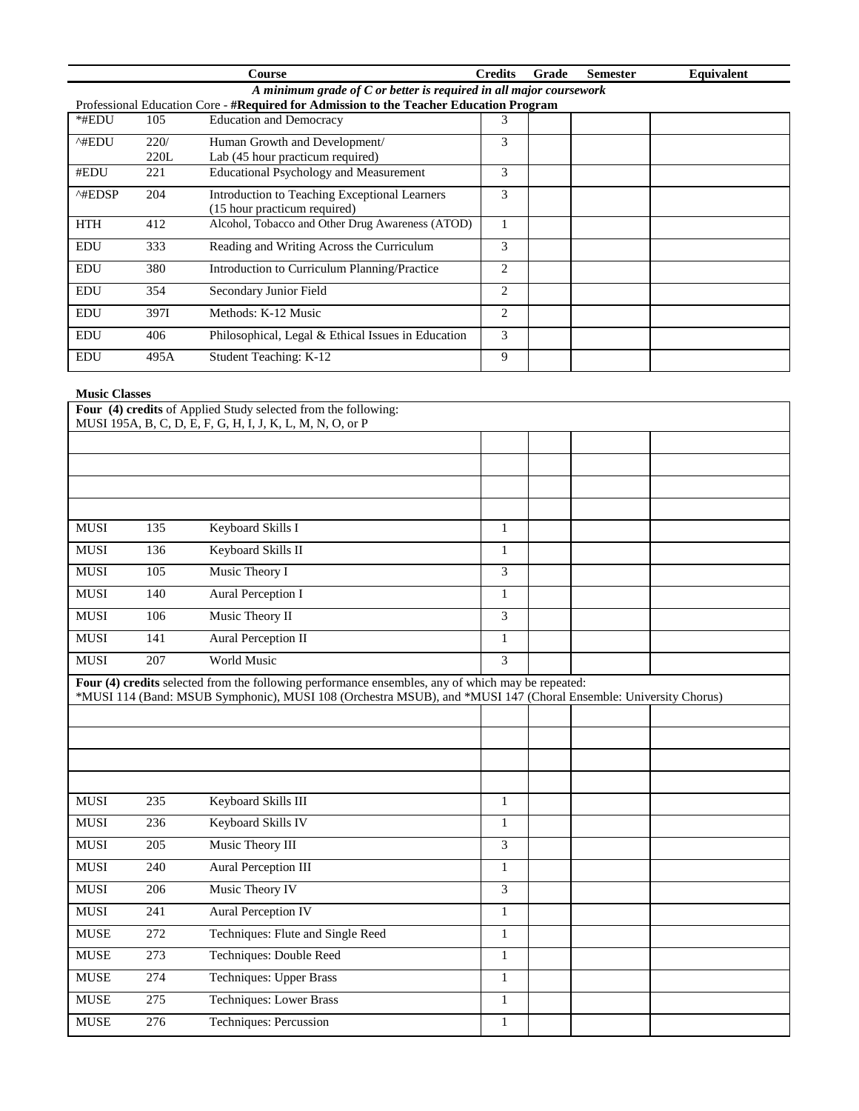|                         |                                                                      | Course                                                                                 | <b>Credits</b> | Grade | <b>Semester</b> | <b>Equivalent</b> |  |  |  |
|-------------------------|----------------------------------------------------------------------|----------------------------------------------------------------------------------------|----------------|-------|-----------------|-------------------|--|--|--|
|                         | A minimum grade of $C$ or better is required in all major coursework |                                                                                        |                |       |                 |                   |  |  |  |
|                         |                                                                      | Professional Education Core - #Required for Admission to the Teacher Education Program |                |       |                 |                   |  |  |  |
| *#EDU                   | 105                                                                  | <b>Education and Democracy</b>                                                         | 3              |       |                 |                   |  |  |  |
| ^#EDU                   | 220/                                                                 | Human Growth and Development/                                                          | 3              |       |                 |                   |  |  |  |
|                         | 220L                                                                 | Lab (45 hour practicum required)                                                       |                |       |                 |                   |  |  |  |
| #EDU                    | 221                                                                  | <b>Educational Psychology and Measurement</b>                                          | 3              |       |                 |                   |  |  |  |
| $^{\wedge\text{HEDSP}}$ | 204                                                                  | Introduction to Teaching Exceptional Learners<br>(15 hour practicum required)          | 3              |       |                 |                   |  |  |  |
| <b>HTH</b>              | 412                                                                  | Alcohol, Tobacco and Other Drug Awareness (ATOD)                                       |                |       |                 |                   |  |  |  |
| <b>EDU</b>              | 333                                                                  | Reading and Writing Across the Curriculum                                              | 3              |       |                 |                   |  |  |  |
| <b>EDU</b>              | 380                                                                  | Introduction to Curriculum Planning/Practice                                           | 2              |       |                 |                   |  |  |  |
| <b>EDU</b>              | 354                                                                  | Secondary Junior Field                                                                 | 2              |       |                 |                   |  |  |  |
| <b>EDU</b>              | 397I                                                                 | Methods: K-12 Music                                                                    | 2              |       |                 |                   |  |  |  |
| <b>EDU</b>              | 406                                                                  | Philosophical, Legal & Ethical Issues in Education                                     | 3              |       |                 |                   |  |  |  |
| <b>EDU</b>              | 495A                                                                 | Student Teaching: K-12                                                                 | 9              |       |                 |                   |  |  |  |

## **Music Classes**

|                                                                                                   |     | Four (4) credits of Applied Study selected from the following:                                                  |   |  |  |  |
|---------------------------------------------------------------------------------------------------|-----|-----------------------------------------------------------------------------------------------------------------|---|--|--|--|
|                                                                                                   |     | MUSI 195A, B, C, D, E, F, G, H, I, J, K, L, M, N, O, or P                                                       |   |  |  |  |
|                                                                                                   |     |                                                                                                                 |   |  |  |  |
|                                                                                                   |     |                                                                                                                 |   |  |  |  |
|                                                                                                   |     |                                                                                                                 |   |  |  |  |
|                                                                                                   |     |                                                                                                                 |   |  |  |  |
| <b>MUSI</b>                                                                                       | 135 | Keyboard Skills I                                                                                               | 1 |  |  |  |
| <b>MUSI</b>                                                                                       | 136 | Keyboard Skills II                                                                                              | 1 |  |  |  |
| <b>MUSI</b>                                                                                       | 105 | Music Theory I                                                                                                  | 3 |  |  |  |
| <b>MUSI</b>                                                                                       | 140 | Aural Perception I                                                                                              | 1 |  |  |  |
| <b>MUSI</b>                                                                                       | 106 | Music Theory II                                                                                                 | 3 |  |  |  |
| <b>MUSI</b>                                                                                       | 141 | Aural Perception II                                                                                             | 1 |  |  |  |
| <b>MUSI</b>                                                                                       | 207 | <b>World Music</b>                                                                                              | 3 |  |  |  |
| Four (4) credits selected from the following performance ensembles, any of which may be repeated: |     |                                                                                                                 |   |  |  |  |
|                                                                                                   |     | *MUSI 114 (Band: MSUB Symphonic), MUSI 108 (Orchestra MSUB), and *MUSI 147 (Choral Ensemble: University Chorus) |   |  |  |  |
|                                                                                                   |     |                                                                                                                 |   |  |  |  |

| <b>MUSI</b> | 235 | Keyboard Skills III               | $\pm$  |  |  |
|-------------|-----|-----------------------------------|--------|--|--|
| <b>MUSI</b> | 236 | Keyboard Skills IV                |        |  |  |
| <b>MUSI</b> | 205 | Music Theory III                  | 3      |  |  |
| <b>MUSI</b> | 240 | Aural Perception III              | 1      |  |  |
| <b>MUSI</b> | 206 | Music Theory IV                   | 3      |  |  |
| <b>MUSI</b> | 241 | <b>Aural Perception IV</b>        | 1      |  |  |
| <b>MUSE</b> | 272 | Techniques: Flute and Single Reed | 1      |  |  |
| <b>MUSE</b> | 273 | Techniques: Double Reed           | 1<br>1 |  |  |
| <b>MUSE</b> | 274 | Techniques: Upper Brass           | 1      |  |  |
| <b>MUSE</b> | 275 | Techniques: Lower Brass           |        |  |  |
| <b>MUSE</b> | 276 | Techniques: Percussion            | 1      |  |  |